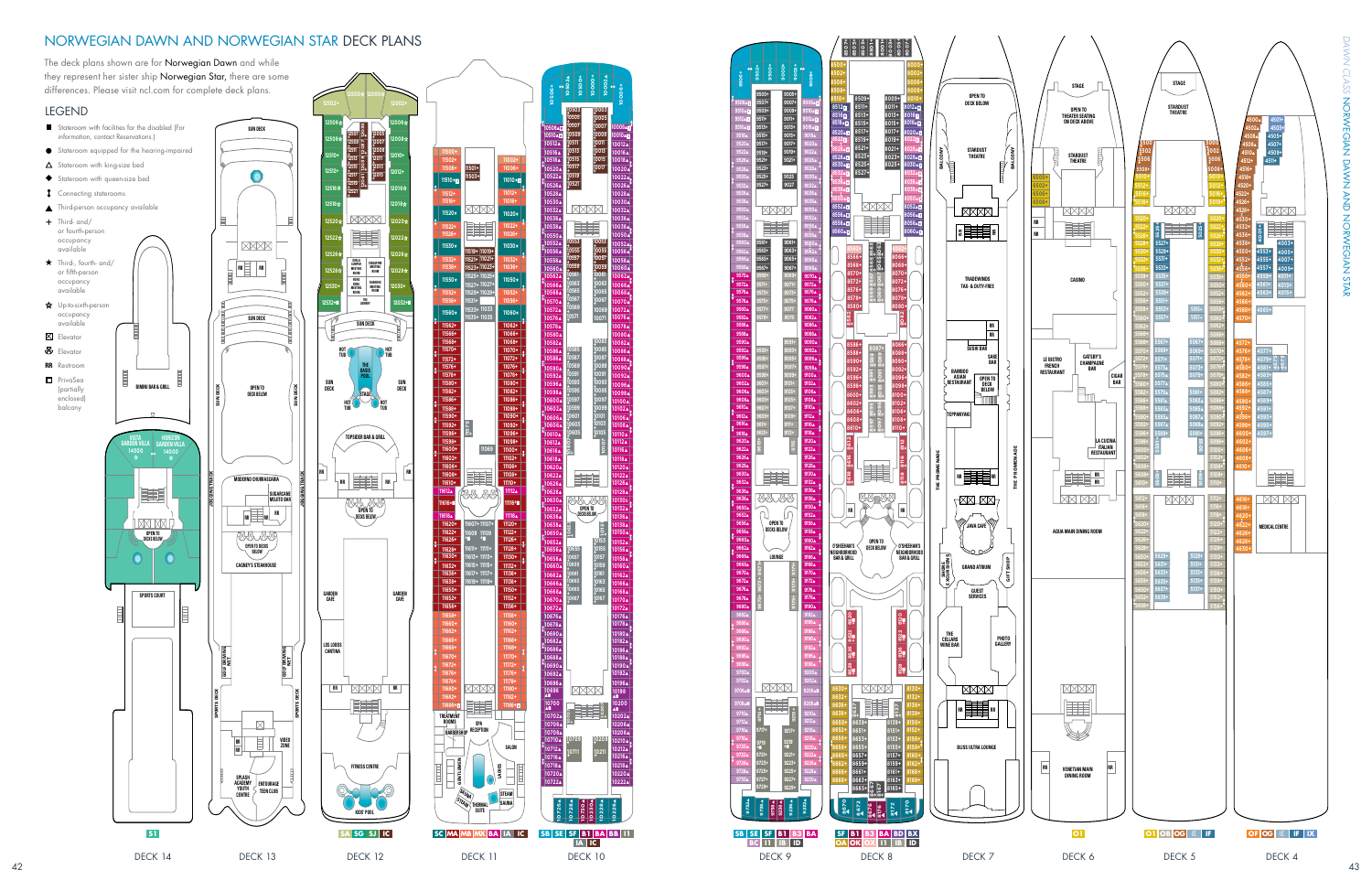# NORWEGIAN DAWN AND NORWEGIAN STAR DECK PLANS

*DAWN CLASS*  $\overline{C}$ **ASS ZORNEGIAN DRYNA DRYSTERS ASS** NORWEGIAN DAWN AND NORWEGIAN STAR I STAR



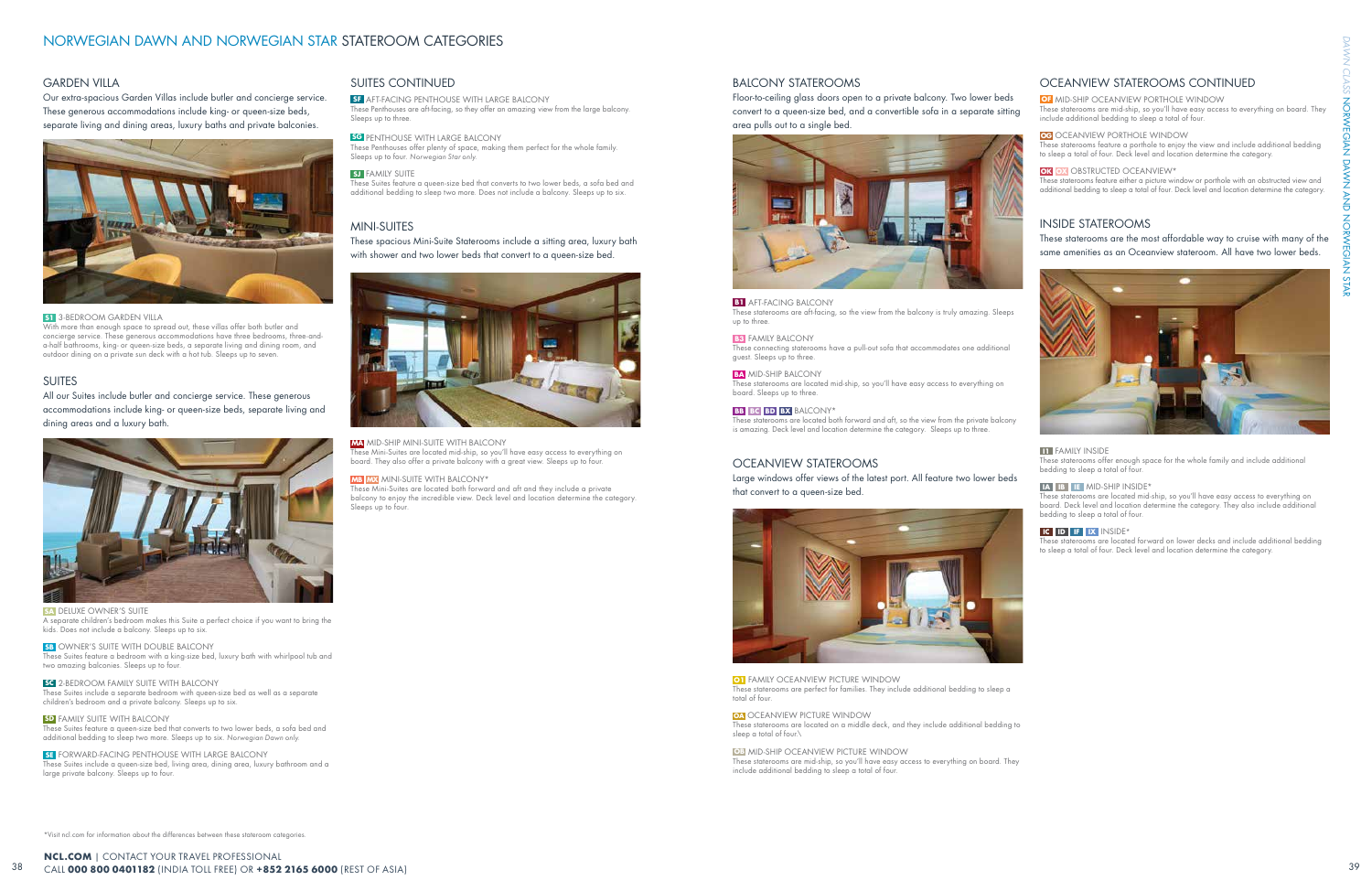\*Visit ncl.com for information about the differences between these stateroom categories.

## SUITES CONTINUED

**SF** AFT-FACING PENTHOUSE WITH LARGE BALCONY

These Penthouses are aft-facing, so they offer an amazing view from the large balcony. Sleeps up to three.

#### **SG** PENTHOUSE WITH LARGE BALCONY

These Penthouses offer plenty of space, making them perfect for the whole family. Sleeps up to four. Norwegian Star only.

### **SJ** FAMILY SUITE

These Suites feature a queen-size bed that converts to two lower beds, a sofa bed and additional bedding to sleep two more. Does not include a balcony. Sleeps up to six.

## MINI-SUITES

These spacious Mini-Suite Staterooms include a sitting area, luxury bath with shower and two lower beds that convert to a queen-size bed.



### **MA** MID-SHIP MINI-SUITE WITH BALCONY

These Mini-Suites are located mid-ship, so you'll have easy access to everything on board. They also offer a private balcony with a great view. Sleeps up to four.

### **MB MX** MINI-SUITE WITH BALCONY\*

These Mini-Suites are located both forward and aft and they include a private balcony to enjoy the incredible view. Deck level and location determine the category. Sleeps up to four.

> **O1** FAMILY OCEANVIEW PICTURE WINDOW These staterooms are perfect for families. They include additional bedding to sleep a total of four.

### BALCONY STATEROOMS

Floor-to-ceiling glass doors open to a private balcony. Two lower beds convert to a queen-size bed, and a convertible sofa in a separate sitting area pulls out to a single bed.



#### **B1** AFT-FACING BALCONY

These staterooms are aft-facing, so the view from the balcony is truly amazing. Sleeps up to three.

#### **B3** FAMILY BALCONY

These connecting staterooms have a pull-out sofa that accommodates one additional guest. Sleeps up to three.

#### **BA** MID-SHIP BALCONY

These staterooms are located mid-ship, so you'll have easy access to everything on board. Sleeps up to three.

### **BB BC BD BX** BALCONY\*

These staterooms are located both forward and aft, so the view from the private balcony is amazing. Deck level and location determine the category. Sleeps up to three.

## OCEANVIEW STATEROOMS

Large windows offer views of the latest port. All feature two lower beds that convert to a queen-size bed.



With more than enough space to spread out, these villas offer both butler and concierge service. These generous accommodations have three bedrooms, three-anda-half bathrooms, king- or queen-size beds, a separate living and dining room, and outdoor dining on a private sun deck with a hot tub. Sleeps up to seven.

> **OA** OCEANVIEW PICTURE WINDOW These staterooms are located on a middle deck, and they include additional bedding to sleep a total of four.\

**OB** MID-SHIP OCEANVIEW PICTURE WINDOW

**SB** OWNER'S SUITE WITH DOUBLE BALCONY These Suites feature a bedroom with a king-size bed, luxury bath with whirlpool tub and two amazing balconies. Sleeps up to four.

> These staterooms are mid-ship, so you'll have easy access to everything on board. They include additional bedding to sleep a total of four.

## OCEANVIEW STATEROOMS CONTINUED

#### **OF MID-SHIP OCEANVIEW PORTHOLE WINDOW**

**SD** FAMILY SUITE WITH BALCONY These Suites feature a queen-size bed that converts to two lower beds, a sofa bed and additional bedding to sleep two more. Sleeps up to six. Norwegian Dawn only.

These staterooms are mid-ship, so you'll have easy access to everything on board. They include additional bedding to sleep a total of four.

**SE** FORWARD-FACING PENTHOUSE WITH LARGE BALCONY These Suites include a queen-size bed, living area, dining area, luxury bathroom and a large private balcony. Sleeps up to four.

### **OG** OCEANVIEW PORTHOLE WINDOW

These staterooms feature a porthole to enjoy the view and include additional bedding to sleep a total of four. Deck level and location determine the category.

#### **OK OX OBSTRUCTED OCEANVIEW\***

These staterooms feature either a picture window or porthole with an obstructed view and additional bedding to sleep a total of four. Deck level and location determine the category.

## INSIDE STATEROOMS

These staterooms are the most affordable way to cruise with many of the same amenities as an Oceanview stateroom. All have two lower beds.



### **II** FAMILY INSIDE

These staterooms offer enough space for the whole family and include additional bedding to sleep a total of four.

#### **IA IB IE** MID-SHIP INSIDE\*

These staterooms are located mid-ship, so you'll have easy access to everything on board. Deck level and location determine the category. They also include additional bedding to sleep a total of four.

#### **IC ID IF IX** INSIDE\*

These staterooms are located forward on lower decks and include additional bedding to sleep a total of four. Deck level and location determine the category.

## GARDEN VILLA

Our extra-spacious Garden Villas include butler and concierge service. These generous accommodations include king- or queen-size beds, separate living and dining areas, luxury baths and private balconies.



### **S1** 3-BEDROOM GARDEN VILLA

## SUITES

All our Suites include butler and concierge service. These generous accommodations include king- or queen-size beds, separate living and dining areas and a luxury bath.



**SA DELUXE OWNER'S SUITE** A separate children's bedroom makes this Suite a perfect choice if you want to bring the kids. Does not include a balcony. Sleeps up to six.

**SC** 2-BEDROOM FAMILY SUITE WITH BALCONY These Suites include a separate bedroom with queen-size bed as well as a separate children's bedroom and a private balcony. Sleeps up to six.